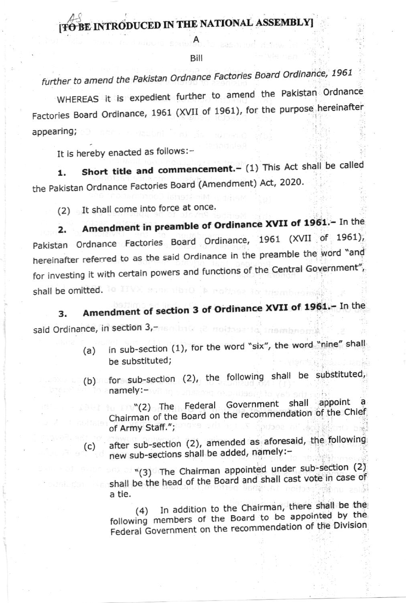## **BE INTRODUCED IN THE NATIONAL ASSEMBLYI**

Bill

## further to amend the Pakistan Ordnance Factories Board Ordinance, 1961

WHEREAS it is expedient further to amend the Pakistan Ordnance Factories Board Ordinance, 1961 (XVII of 1961), for the purpose hereinafter appearing;

It is hereby enacted as follows:-

 $(c)$ 

Short title and commencement. - (1) This Act shall be called  $1.$ the Pakistan Ordnance Factories Board (Amendment) Act, 2020.

(2) It shall come into force at once.

Amendment in preamble of Ordinance XVII of 1961.- In the  $2.$ Pakistan Ordnance Factories Board Ordinance, 1961 (XVII of 1961), hereinafter referred to as the said Ordinance in the preamble the word "and for investing it with certain powers and functions of the Central Government", shall be omitted.

Amendment of section 3 of Ordinance XVII of 1961.- In the 3. said Ordinance, in section 3,desse ta inambnotr

- in sub-section (1), for the word "six", the word "nine" shall  $(a)$ be substituted:
- (b) for sub-section (2), the following shall be substituted, namely:-

(2) The Federal Government shall appoint Chairman of the Board on the recommendation of the Chief of Army Staff.";

after sub-section (2), amended as aforesaid, the following new sub-sections shall be added, namely:-

"(3) The Chairman appointed under sub-section (2) shall be the head of the Board and shall cast vote in case of a tie.

(4) In addition to the Chairman, there shall be the following members of the Board to be appointed by the Federal Government on the recommendation of the Division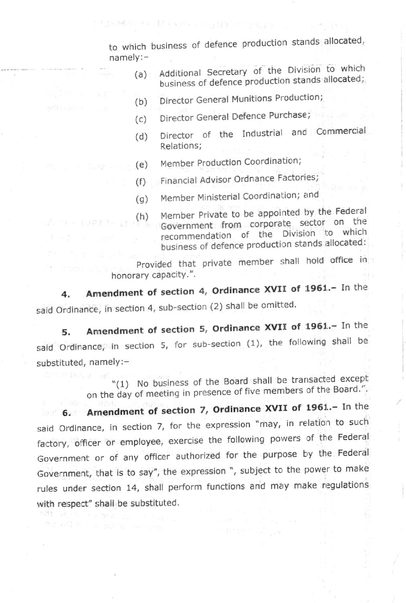to which business of defence production stands allocated, namely: -

TEMPLEA NONAS PERDITORIAL I

- Additional Secretary of the Division to which business of defence production stands allocated; (a)
- Director General Munitions Production; (b)
- Director General Defence Purchase;  $(c)$
- Director of the Industrial and Commercial Relations; (d)
- Member Production Coordination; (e)  $\epsilon$  (e)  $\epsilon$  (e)
	- Financial Advisor Ordnance Factories; (f)
	- Member Ministerial Coordination; and  $(q)$
	- Member Private to be appointed by the Federal Government from corporate sector on the recommendation of the Division to which business of defence production stands allocated: (h)

Provided that private member shall hold office in honorary capacity.".

4. Amendment of section 4, Ordinance XVII of 1961.- In the said Ordinance, in section 4, sub-section (2) shall be omitted.

5. Amendment of section 5, Ordinance XVII of 1961.- In the said Ordinance, in section 5, for sub-section  $(1)$ , the following shall be substituted, namely:-

> "(1) No business of the Board shall be transacted except on the day of meeting in presence of five members of the Board.".

6. Amendment of section 7, Ordinance XVII of 1961.- In the said Ordinance, in section 7, for the expression "may, in relation to such factory, officer or employee, exercise the following powers of the Federal Government or of any officer authorized for the purpose by the Federal Government, that is to say", the expression ", subject to the power to make rules under section 14, shall perform functions and may make regulations with respect" shall be substituted.

me ad a " in nord average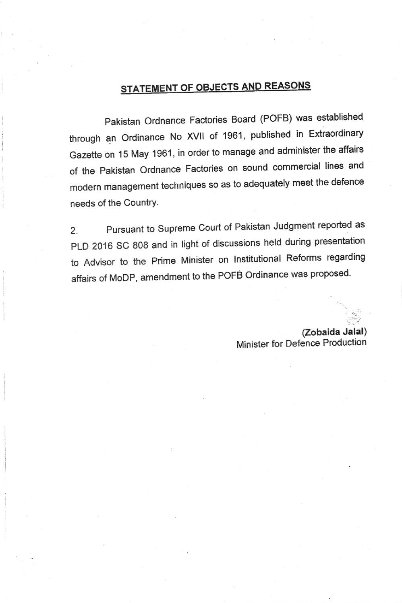## STATEMENT OF OBJECTS AND REASONS

Pakistan ordnance Factories Board (POFB) was established through an Ordinance No XVll of 1961, published in Extraordinary Gazette on 15 May 1961, in order to manage and administer the affai's of the Pakistan Ordnance Factories on sound commercial lines and modern management techniques so as to adequately meet the defence needs of the Country.

2. Pursuant to Supreme Court of Pakistan Judgment reported as PLD 2016 SC 808 and in light of discussions held during presentation to Advisor to the Prime Minister on Institutional Reforms regarding affairs of MoDP, amendment to the POFB Ordinance was proposed.

> (Zobaida Jalal) Minister for Defence Production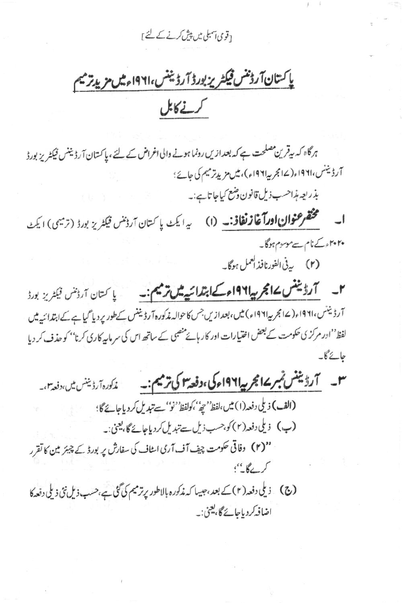<sub>[</sub>قومی آسبلی میں پیش کرنے کے لئے ]

پاکستان آرۇننس فیکٹریز بورڈ آرڈیننس،۱۹۶۱ءمیں مریدیز میم کرنے کابل

ہرگاہ کہ بیقر ین مصلحت ہے کہ بعدازیں رونما ہونے والی اغراض کے لئے، پاکستان آرڈیننس فیکٹریز بورڈ آرڈیننس،۱۹۶۱ء(۱۷مجر پیا۱۹۶۱ء)، میں مزید ترمیم کی جائے؛ بذريعه مذاحسب ذيل قانون وضع كياجاتاب:۔

**ا۔ مُختَقَّر عنوان اورآغازنغاذ:۔ (۱)** یہ ایک پاکتان آرڈننس فیکٹریز بورڈ (ترسیم) ایکٹ ۲۰۲۰ء کے نام سے موسوم ہوگا۔ (۲) به في الفورنافذ العمل ہوگا۔

آرڈیننس،۱۹۶۱؍(۱۷جرمیہ۱۹۶۱ء) میں،بعدازیں جس کاحوالہ مذکورہ آرڈیننس کےطور پر دیا گیا ہے کےاہتدائیہ میں لفظ''ادر مرکز کی حکومت کے بعض اختیارات اور کار ہائے منصبی کے ساتھ اس کی سر مایہ کارکی کرنا'' کو حذف کر دیا جائے گا۔

(الف) ذيلي دفعه (١) مين ،لفظ ُ حِيوٌ ' كولفظ ُ ' نو'' سے تبديل كر دياجائے گا ؛ (ب) ذيلى دفعه (٢) كو، حسب ذيل سے تبديل كردياجائے گا، يعني:۔ ''(۲) وفاقی حکومت چیف آف آرمی اسٹاف کی سفارش پر بورڈ کے چیئر مین کا تقرر  $5 - 6 - 5$ اضافہ کر دیاجائے گا، یعنی:۔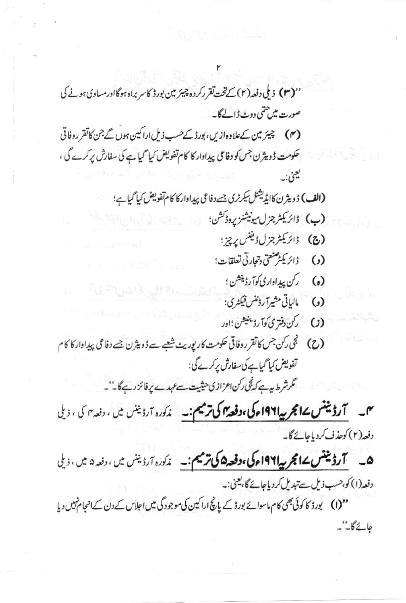''**(۳)** ذیلی دفعہ(۲)کےتخت تقررکردہ چیئر مین بورڈ کاسر براہ ہوگااورمساوی ہونے کی صورت میں حتمی ووٹ ڈالےگا۔ (۴) چیز مین کےعلاوہ ازیں، بورڈ کےحسب ذیل اراکین ہوں گے جن کا تقرروفاتی حکومت ڈویٹرن جس کو دفاعی پیداوار کا کام تفویض کیا گیا ہے کی سفارش پرکرے گی ، ليعنى:\_ (الف) ڈویٹرن کاایڈیشنل سکرٹری جےدفاعی پیداوارکا کام تفویض کیا گیاہے؛ (پ) ڈائریکٹر جزل میونیشنز پروڈکشن؛ (ج) ڈائریکٹر جزلڈیفس پرچز؛ دُائرَ يَكْمِ صَنْعَتِي دِتْجَارِتِي تَعَلَقَاتٍ؛  $\left($ ,) (ه) گرې پېداداري کوآرڈینشن ؛ لىاتى مشيرآ رۇننس فىكثرى؛  $\lambda$ (ح) نجى ركن جس كاتقر روفاقى حكومت كاريوريث شعبے ہے ڈویٹرن جسے دفاعى پيداوار كا كام تفويض كياً كيات كى سفارش يركرے گى: گرشرط سے کہ ٹی رکن اعزازی حیثیت سےعہدے پر فائز رہے گا۔''۔ دفعہ(۲) کوحذف کردیاجائے گا۔ ھ۔ آ**رڈینٹس کے انجر پیاا 194اء کی، دفعہ ۵ کی ترمیم:۔** م*ذکورہ آرڈینن میں ، دفعہ ۵ میں ، ذ*یلی دفعہ(۱) کو،حسب ذیل سے تبدیل کردیاجائے گا، یعنی:۔ ''(I) یورڈ کا کوئی بھی کام ماسوائے بورڈ کے پانچ اراکین کی موجودگی میں اجلاس کے دن کے انجام نہیں دیا حائے گا''۔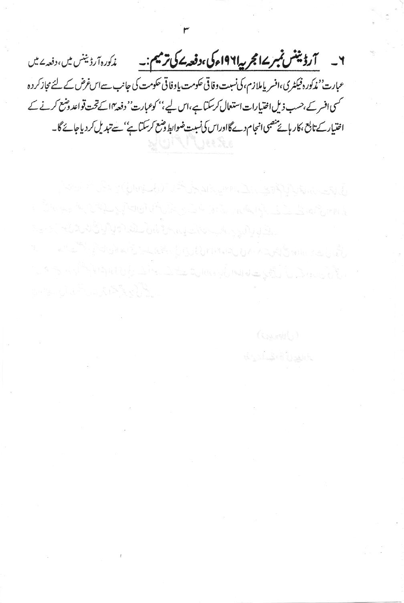۲\_\_\_ <u>آرڈینٹس ٹمبر ۱۷ مجربہ۱۹۶۱ء کی،دفعہ سمک</u> ترمیم:۔\_ مذکورہ آرڈیننس میں، دفعہ <sup>ے می</sup>ں عبارت'' مٰدکورہ فیکٹری،افسر پاملازم،کی نسبت وفاقی حکومت یا وفاقی حکومت کی جانب سےاس غرض کے لئے مجاز کر دہ حمسی افسر کے،حسب ذیل اختیارات استعال کرسکتا ہے،اس لیے،'' کوعبارت' دفعہ ٗاسے تحت تواعد وشع کرنے کے اختیار کے تابع ،کار ہائے منصبی انجام دےگااوراس کی نسبت ضوابط وضع کرسکتاہے'' سے تبدیل کردیاجائے گا۔

بالمواجب بالمعاط لوالوا والمستعين والمستقار والمستواطي المواليات المسالمة <u>٢٠٠٤ - ٢٠ ملي موسود المساحة المساحة المساحة المساحة المساحة المساحة المساحة المساحة المساحة المساحة المساحة ال</u> المراكب والمستوات أوالمجال المواليف المستحدث المستعدد والمستعدد والمستعدد والمستعدد والمستعدد والمستعدد والمستعدد والمستعدد والمستعدد والمستعدد والمستعدد والمستعدد والمستعدد والمستعدد والمستعدد والمستعدد والمستعدد والمستعد

باللهزة المشكرية